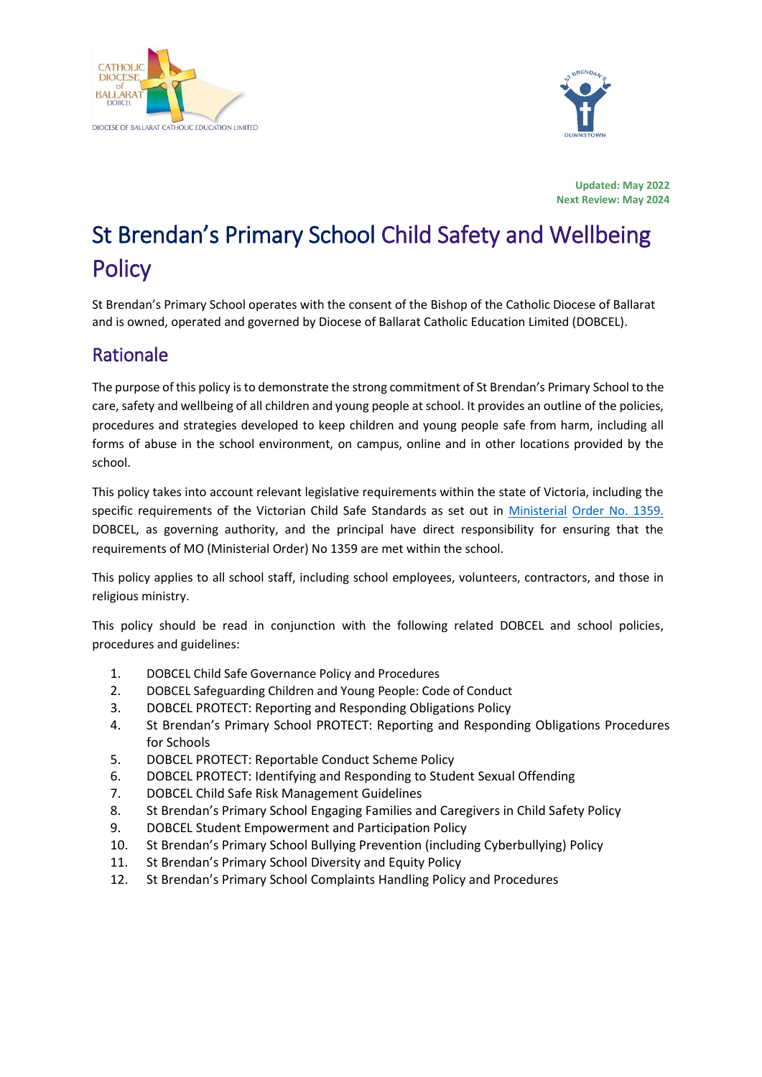



**Updated: May 2022 Next Review: May 2024**

# St Brendan's Primary School Child Safety and Wellbeing **Policy**

St Brendan's Primary School operates with the consent of the Bishop of the Catholic Diocese of Ballarat and is owned, operated and governed by Diocese of Ballarat Catholic Education Limited (DOBCEL).

## Rationale

The purpose of this policy isto demonstrate the strong commitment of St Brendan's Primary School to the care, safety and wellbeing of all children and young people at school. It provides an outline of the policies, procedures and strategies developed to keep children and young people safe from harm, including all forms of abuse in the school environment, on campus, online and in other locations provided by the school.

This policy takes into account relevant legislative requirements within the state of Victoria, including the specific requirements of the Victorian Child Safe Standards as set out in [Ministerial](https://www.education.vic.gov.au/Documents/about/programs/health/protect/Ministerial_Order.pdf) [Order No. 1359.](https://www.vit.vic.edu.au/news/news/2018/protecting-children-mandatory-reporting-elearning-modules) DOBCEL, as governing authority, and the principal have direct responsibility for ensuring that the requirements of MO (Ministerial Order) No 1359 are met within the school.

This policy applies to all school staff, including school employees, volunteers, contractors, and those in religious ministry.

This policy should be read in conjunction with the following related DOBCEL and school policies, procedures and guidelines:

- 1. DOBCEL Child Safe Governance Policy and Procedures
- 2. DOBCEL Safeguarding Children and Young People: Code of Conduct
- 3. DOBCEL PROTECT: Reporting and Responding Obligations Policy
- 4. St Brendan's Primary School PROTECT: Reporting and Responding Obligations Procedures for Schools
- 5. DOBCEL PROTECT: Reportable Conduct Scheme Policy
- 6. DOBCEL PROTECT: Identifying and Responding to Student Sexual Offending
- 7. DOBCEL Child Safe Risk Management Guidelines
- 8. St Brendan's Primary School Engaging Families and Caregivers in Child Safety Policy
- 9. DOBCEL Student Empowerment and Participation Policy
- 10. St Brendan's Primary School Bullying Prevention (including Cyberbullying) Policy
- 11. St Brendan's Primary School Diversity and Equity Policy
- 12. St Brendan's Primary School Complaints Handling Policy and Procedures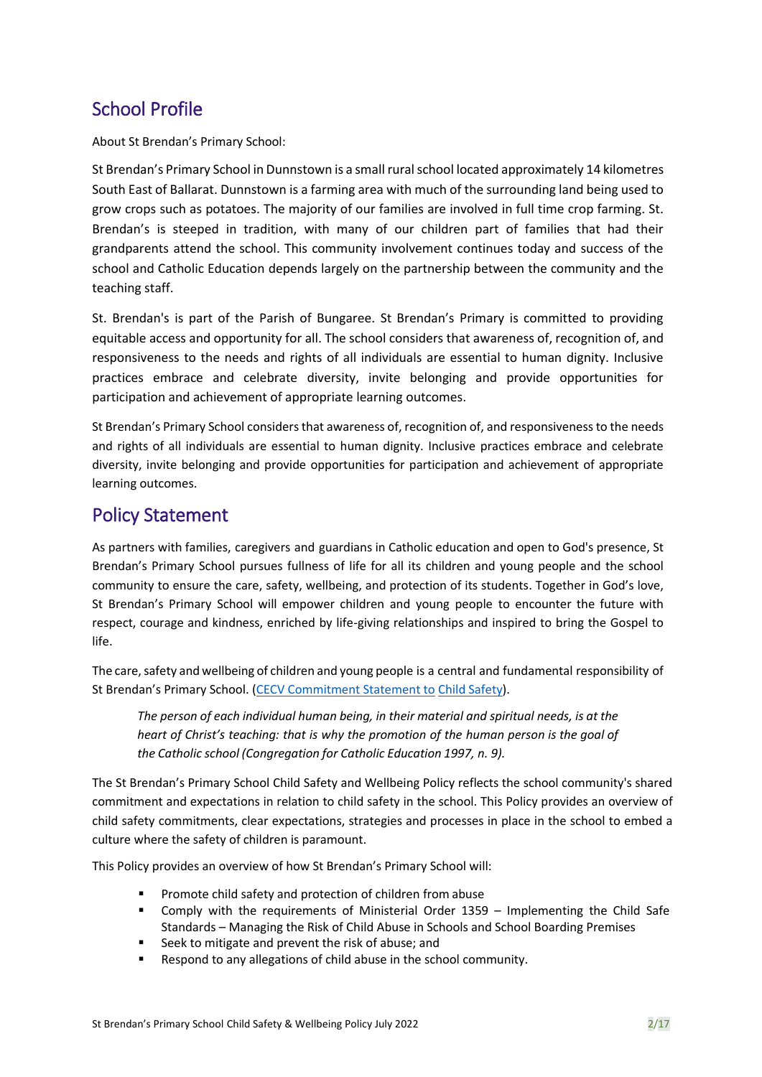## School Profile

About St Brendan's Primary School:

St Brendan's Primary School in Dunnstown is a small rural school located approximately 14 kilometres South East of Ballarat. Dunnstown is a farming area with much of the surrounding land being used to grow crops such as potatoes. The majority of our families are involved in full time crop farming. St. Brendan's is steeped in tradition, with many of our children part of families that had their grandparents attend the school. This community involvement continues today and success of the school and Catholic Education depends largely on the partnership between the community and the teaching staff.

St. Brendan's is part of the Parish of Bungaree. St Brendan's Primary is committed to providing equitable access and opportunity for all. The school considers that awareness of, recognition of, and responsiveness to the needs and rights of all individuals are essential to human dignity. Inclusive practices embrace and celebrate diversity, invite belonging and provide opportunities for participation and achievement of appropriate learning outcomes.

St Brendan's Primary School considers that awareness of, recognition of, and responsiveness to the needs and rights of all individuals are essential to human dignity. Inclusive practices embrace and celebrate diversity, invite belonging and provide opportunities for participation and achievement of appropriate learning outcomes.

### Policy Statement

As partners with families, caregivers and guardians in Catholic education and open to God's presence, St Brendan's Primary School pursues fullness of life for all its children and young people and the school community to ensure the care, safety, wellbeing, and protection of its students. Together in God's love, St Brendan's Primary School will empower children and young people to encounter the future with respect, courage and kindness, enriched by life-giving relationships and inspired to bring the Gospel to life.

The care, safety and wellbeing of children and young people is a central and fundamental responsibility of St Brendan's Primary School. [\(CECV Commitment Statement to](https://cevn.cecv.catholic.edu.au/Melb/Document-File/Child-Safety/About/Commitment-Statement-A4.aspx) Child [Safety\)](https://www.education.vic.gov.au/Documents/about/programs/health/protect/PROTECT_Responding_TemplateSchools.pdf?id=8589940582).

*The person of each individual human being, in their material and spiritual needs, is at the heart of Christ's teaching: that is why the promotion of the human person is the goal of the Catholic school (Congregation for Catholic Education 1997, n. 9).*

The St Brendan's Primary School Child Safety and Wellbeing Policy reflects the school community's shared commitment and expectations in relation to child safety in the school. This Policy provides an overview of child safety commitments, clear expectations, strategies and processes in place in the school to embed a culture where the safety of children is paramount.

This Policy provides an overview of how St Brendan's Primary School will:

- Promote child safety and protection of children from abuse
- Comply with the requirements of Ministerial Order 1359 Implementing the Child Safe Standards – Managing the Risk of Child Abuse in Schools and School Boarding Premises
- Seek to mitigate and prevent the risk of abuse; and
- Respond to any allegations of child abuse in the school community.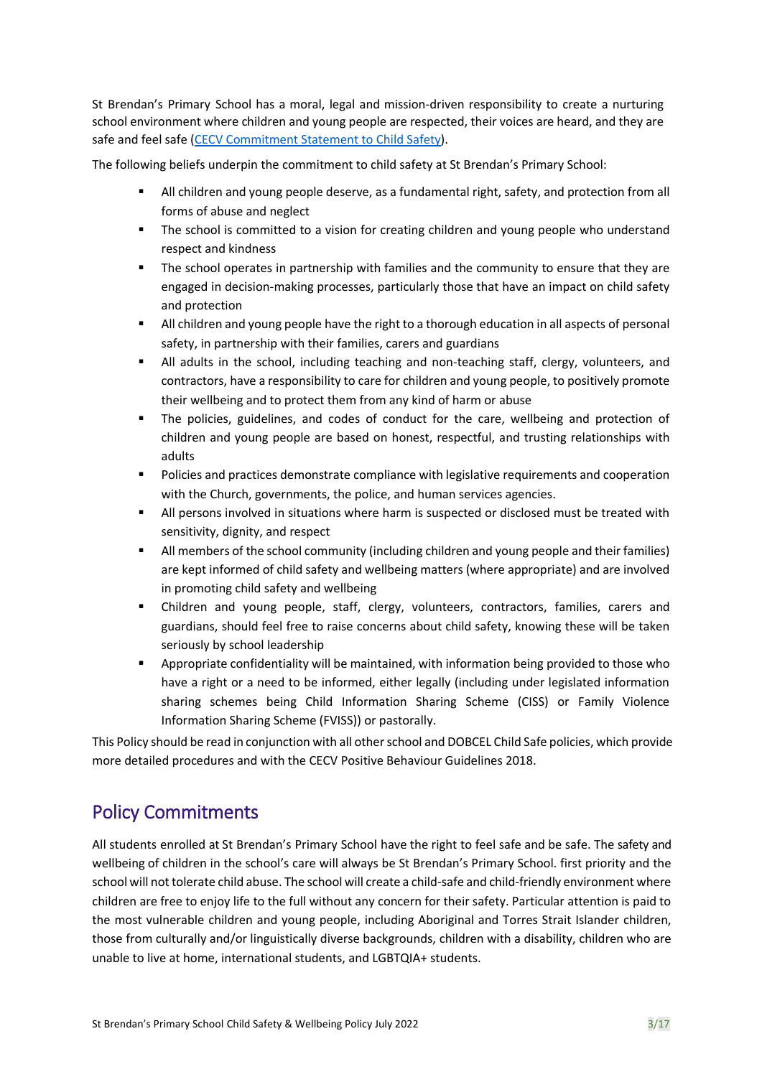St Brendan's Primary School has a moral, legal and mission-driven responsibility to create a nurturing school environment where children and young people are respected, their voices are heard, and they are safe and feel safe [\(CECV Commitment Statement to Child](https://www.cecv.catholic.edu.au/getmedia/b5d43278-51b9-4704-b45a-f14e50546a70/Commitment-Statement-A4.aspx) Safety).

The following beliefs underpin the commitment to child safety at St Brendan's Primary School:

- All children and young people deserve, as a fundamental right, safety, and protection from all forms of abuse and neglect
- The school is committed to a vision for creating children and young people who understand respect and kindness
- The school operates in partnership with families and the community to ensure that they are engaged in decision-making processes, particularly those that have an impact on child safety and protection
- All children and young people have the right to a thorough education in all aspects of personal safety, in partnership with their families, carers and guardians
- All adults in the school, including teaching and non-teaching staff, clergy, volunteers, and contractors, have a responsibility to care for children and young people, to positively promote their wellbeing and to protect them from any kind of harm or abuse
- The policies, guidelines, and codes of conduct for the care, wellbeing and protection of children and young people are based on honest, respectful, and trusting relationships with adults
- Policies and practices demonstrate compliance with legislative requirements and cooperation with the Church, governments, the police, and human services agencies.
- All persons involved in situations where harm is suspected or disclosed must be treated with sensitivity, dignity, and respect
- **■** All members of the school community (including children and young people and their families) are kept informed of child safety and wellbeing matters (where appropriate) and are involved in promoting child safety and wellbeing
- Children and young people, staff, clergy, volunteers, contractors, families, carers and guardians, should feel free to raise concerns about child safety, knowing these will be taken seriously by school leadership
- Appropriate confidentiality will be maintained, with information being provided to those who have a right or a need to be informed, either legally (including under legislated information sharing schemes being Child Information Sharing Scheme (CISS) or Family Violence Information Sharing Scheme (FVISS)) or pastorally.

This Policy should be read in conjunction with all other school and DOBCEL Child Safe policies, which provide more detailed procedures and with the CECV Positive Behaviour Guidelines 2018.

## Policy Commitments

All students enrolled at St Brendan's Primary School have the right to feel safe and be safe. The safety and wellbeing of children in the school's care will always be St Brendan's Primary School. first priority and the school will not tolerate child abuse. The school will create a child-safe and child-friendly environment where children are free to enjoy life to the full without any concern for their safety. Particular attention is paid to the most vulnerable children and young people, including Aboriginal and Torres Strait Islander children, those from culturally and/or linguistically diverse backgrounds, children with a disability, children who are unable to live at home, international students, and LGBTQIA+ students.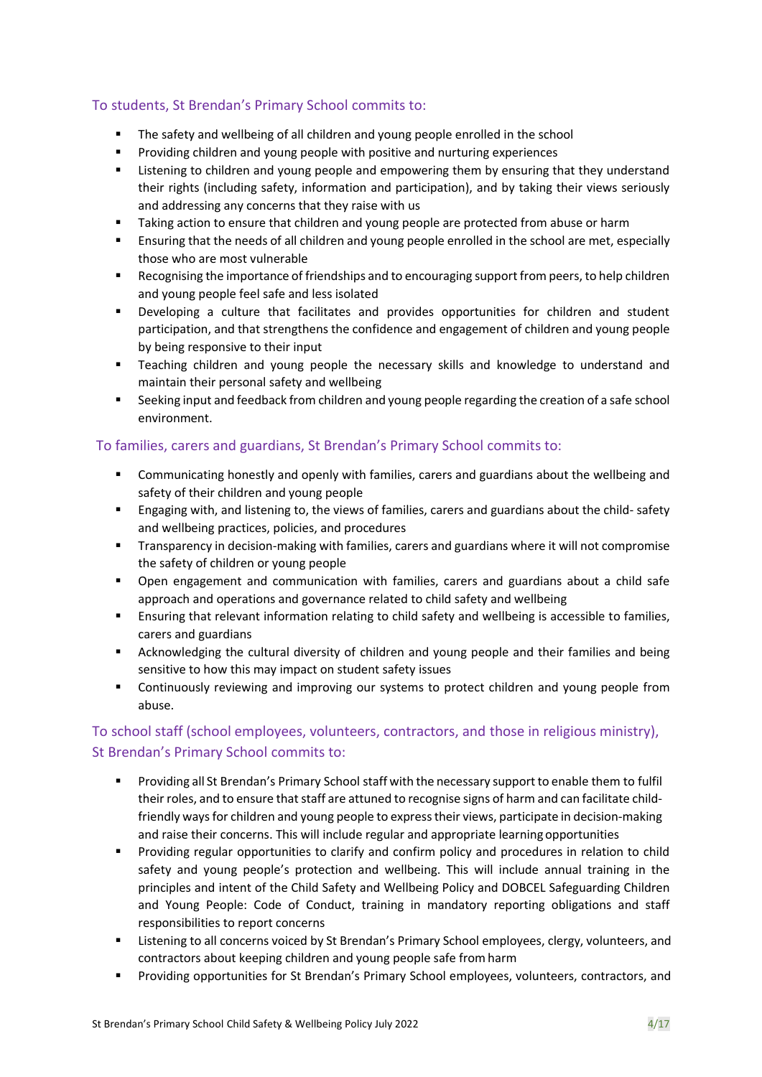#### To students, St Brendan's Primary School commits to:

- The safety and wellbeing of all children and young people enrolled in the school
- Providing children and young people with positive and nurturing experiences
- **■** Listening to children and young people and empowering them by ensuring that they understand their rights (including safety, information and participation), and by taking their views seriously and addressing any concerns that they raise with us
- Taking action to ensure that children and young people are protected from abuse or harm
- Ensuring that the needs of all children and young people enrolled in the school are met, especially those who are most vulnerable
- Recognising the importance of friendships and to encouraging support from peers, to help children and young people feel safe and less isolated
- Developing a culture that facilitates and provides opportunities for children and student participation, and that strengthens the confidence and engagement of children and young people by being responsive to their input
- Teaching children and young people the necessary skills and knowledge to understand and maintain their personal safety and wellbeing
- Seeking input and feedback from children and young people regarding the creation of a safe school environment.

#### To families, carers and guardians, St Brendan's Primary School commits to:

- **•** Communicating honestly and openly with families, carers and guardians about the wellbeing and safety of their children and young people
- **Engaging with, and listening to, the views of families, carers and guardians about the child- safety** and wellbeing practices, policies, and procedures
- Transparency in decision-making with families, carers and guardians where it will not compromise the safety of children or young people
- Open engagement and communication with families, carers and guardians about a child safe approach and operations and governance related to child safety and wellbeing
- **E** Ensuring that relevant information relating to child safety and wellbeing is accessible to families, carers and guardians
- **E** Acknowledging the cultural diversity of children and young people and their families and being sensitive to how this may impact on student safety issues
- **•** Continuously reviewing and improving our systems to protect children and young people from abuse.

#### To school staff (school employees, volunteers, contractors, and those in religious ministry), St Brendan's Primary School commits to:

- Providing all St Brendan's Primary School staff with the necessary support to enable them to fulfil their roles, and to ensure that staff are attuned to recognise signs of harm and can facilitate childfriendly ways for children and young people to express their views, participate in decision-making and raise their concerns. This will include regular and appropriate learning opportunities
- Providing regular opportunities to clarify and confirm policy and procedures in relation to child safety and young people's protection and wellbeing. This will include annual training in the principles and intent of the Child Safety and Wellbeing Policy and DOBCEL Safeguarding Children and Young People: Code of Conduct, training in mandatory reporting obligations and staff responsibilities to report concerns
- **EXECT** Listening to all concerns voiced by St Brendan's Primary School employees, clergy, volunteers, and contractors about keeping children and young people safe fromharm
- Providing opportunities for St Brendan's Primary School employees, volunteers, contractors, and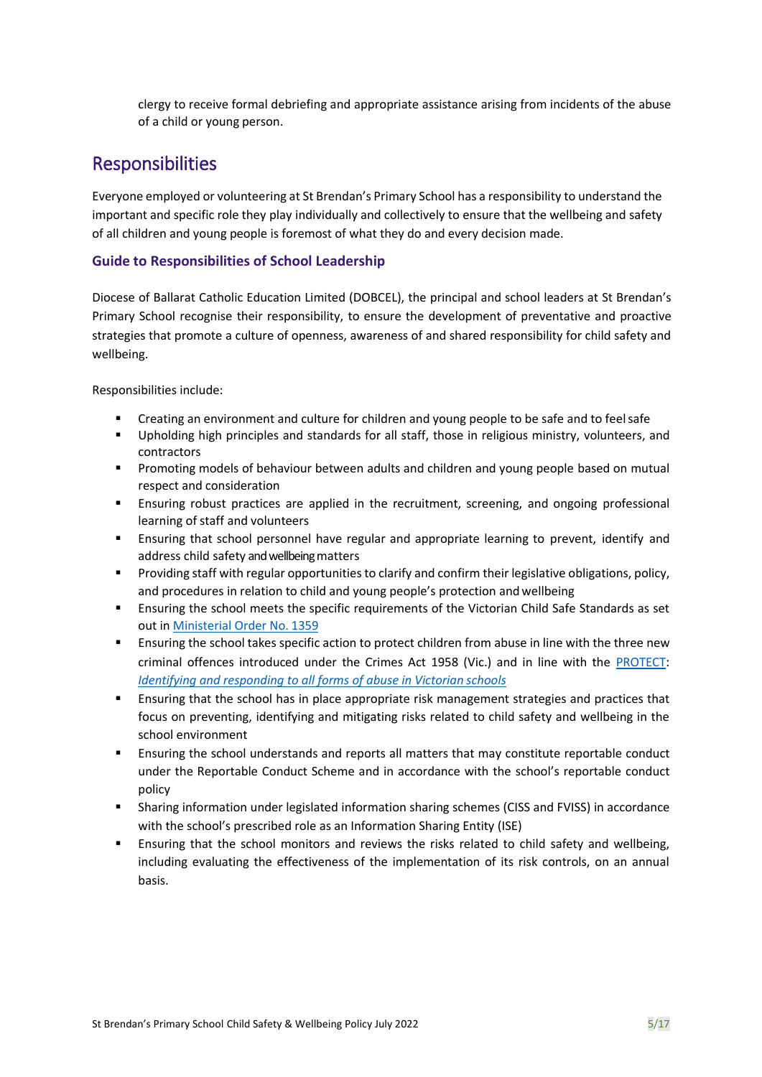clergy to receive formal debriefing and appropriate assistance arising from incidents of the abuse of a child or young person.

### Responsibilities

Everyone employed or volunteering at St Brendan's Primary School has a responsibility to understand the important and specific role they play individually and collectively to ensure that the wellbeing and safety of all children and young people is foremost of what they do and every decision made.

#### **Guide to Responsibilities of School Leadership**

Diocese of Ballarat Catholic Education Limited (DOBCEL), the principal and school leaders at St Brendan's Primary School recognise their responsibility, to ensure the development of preventative and proactive strategies that promote a culture of openness, awareness of and shared responsibility for child safety and wellbeing.

Responsibilities include:

- Creating an environment and culture for children and young people to be safe and to feel safe
- Upholding high principles and standards for all staff, those in religious ministry, volunteers, and contractors
- **•** Promoting models of behaviour between adults and children and young people based on mutual respect and consideration
- **E** Ensuring robust practices are applied in the recruitment, screening, and ongoing professional learning of staff and volunteers
- **Ensuring that school personnel have regular and appropriate learning to prevent, identify and** address child safety and wellbeing matters
- Providing staff with regular opportunities to clarify and confirm their legislative obligations, policy, and procedures in relation to child and young people's protection and wellbeing
- **Ensuring the school meets the specific requirements of the Victorian Child Safe Standards as set** out in [Ministerial Order No.](https://www.education.vic.gov.au/Documents/about/programs/health/protect/Ministerial_Order.pdf) 1359
- Ensuring the school takes specific action to protect children from abuse in line with the three new criminal offences introduced under the Crimes Act 1958 (Vic.) and in line with the [PROTECT](http://www.gazette.vic.gov.au/gazette/Gazettes2016/GG2016S002.pdf)[:](http://www.gazette.vic.gov.au/gazette/Gazettes2016/GG2016S002.pdf) *[Identifying and responding to all forms of abuse in Victorian](https://www.cecv.catholic.edu.au/getmedia/ebe135a4-d1b3-48a0-81fe-50d4fc451bcd/Identifying-and-Responding-to-All-Forms-of-Abuse.aspx#page%3D10) schools*
- **E** Ensuring that the school has in place appropriate risk management strategies and practices that focus on preventing, identifying and mitigating risks related to child safety and wellbeing in the school environment
- Ensuring the school understands and reports all matters that may constitute reportable conduct under the Reportable Conduct Scheme and in accordance with the school's reportable conduct policy
- **•** Sharing information under legislated information sharing schemes (CISS and FVISS) in accordance with the school's prescribed role as an Information Sharing Entity (ISE)
- Ensuring that the school monitors and reviews the risks related to child safety and wellbeing, including evaluating the effectiveness of the implementation of its risk controls, on an annual basis.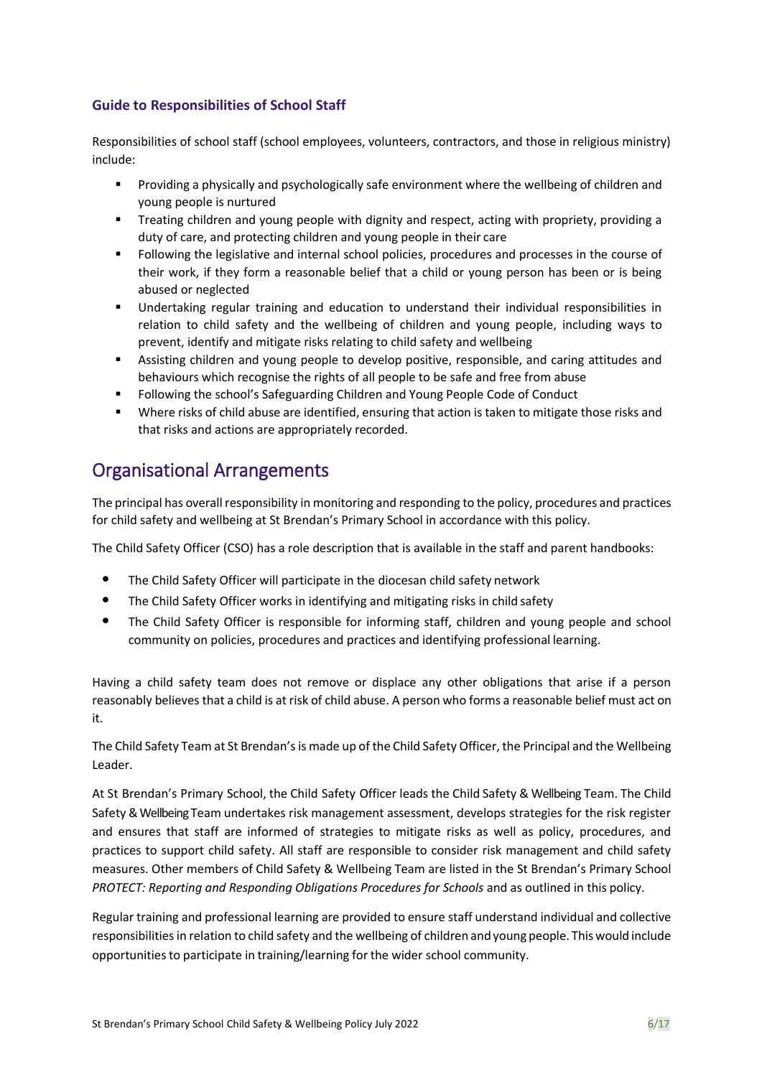#### **Guide to Responsibilities of School Staff**

Responsibilities of school staff (school employees, volunteers, contractors, and those in religious ministry) include:

- **•** Providing a physically and psychologically safe environment where the wellbeing of children and young people is nurtured
- **■** Treating children and young people with dignity and respect, acting with propriety, providing a duty of care, and protecting children and young people in their care
- Following the legislative and internal school policies, procedures and processes in the course of their work, if they form a reasonable belief that a child or young person has been or is being abused or neglected
- Undertaking regular training and education to understand their individual responsibilities in relation to child safety and the wellbeing of children and young people, including ways to prevent, identify and mitigate risks relating to child safety and wellbeing
- Assisting children and young people to develop positive, responsible, and caring attitudes and behaviours which recognise the rights of all people to be safe and free from abuse
- Following the school's Safeguarding Children and Young People Code of Conduct
- Where risks of child abuse are identified, ensuring that action is taken to mitigate those risks and that risks and actions are appropriately recorded.

### Organisational Arrangements

The principal has overall responsibility in monitoring and responding to the policy, procedures and practices for child safety and wellbeing at St Brendan's Primary School in accordance with this policy.

The Child Safety Officer (CSO) has a role description that is available in the staff and parent handbooks:

- The Child Safety Officer will participate in the diocesan child safety network
- The Child Safety Officer works in identifying and mitigating risks in child safety
- The Child Safety Officer is responsible for informing staff, children and young people and school community on policies, procedures and practices and identifying professional learning.

Having a child safety team does not remove or displace any other obligations that arise if a person reasonably believes that a child is at risk of child abuse. A person who forms a reasonable belief must act on it.

The Child Safety Team at St Brendan's is made up of the Child Safety Officer, the Principal and the Wellbeing Leader.

At St Brendan's Primary School, the Child Safety Officer leads the Child Safety & Wellbeing Team. The Child Safety & Wellbeing Team undertakes risk management assessment, develops strategies for the risk register and ensures that staff are informed of strategies to mitigate risks as well as policy, procedures, and practices to support child safety. All staff are responsible to consider risk management and child safety measures. Other members of Child Safety & Wellbeing Team are listed in the St Brendan's Primary School *PROTECT: Reporting and Responding Obligations Procedures for Schools* and as outlined in this policy.

Regular training and professional learning are provided to ensure staff understand individual and collective responsibilities in relation to child safety and the wellbeing of children and young people. Thiswould include opportunities to participate in training/learning for the wider school community.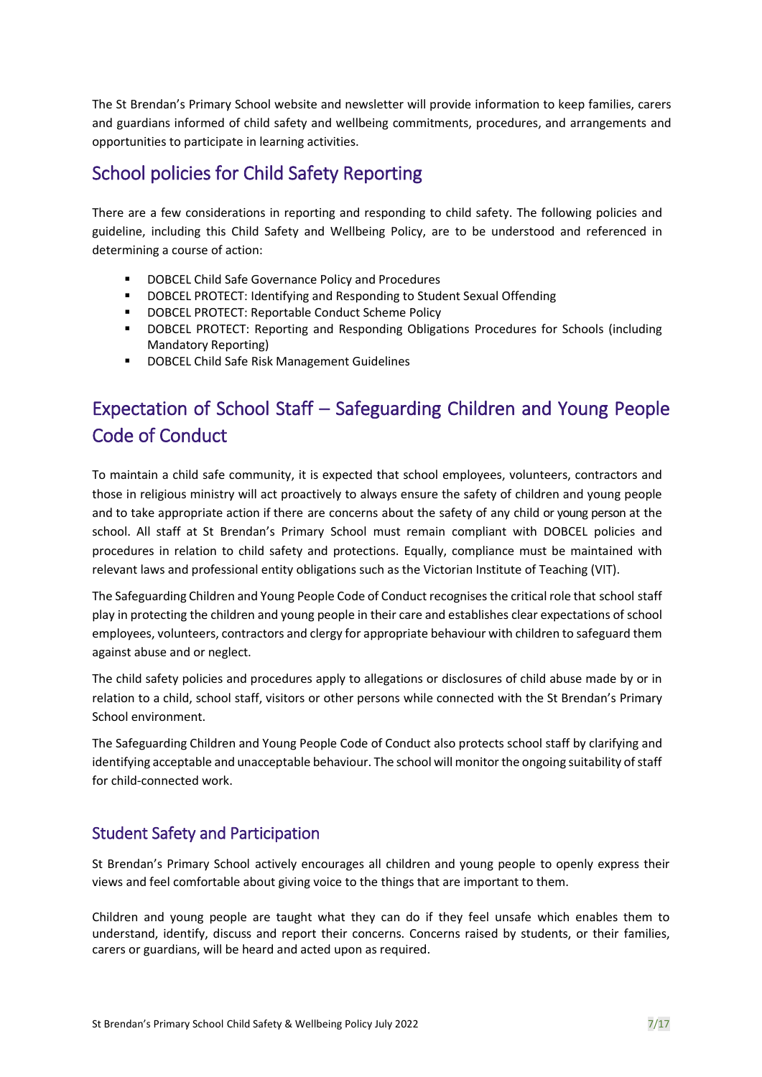The St Brendan's Primary School website and newsletter will provide information to keep families, carers and guardians informed of child safety and wellbeing commitments, procedures, and arrangements and opportunities to participate in learning activities.

## School policies for Child Safety Reporting

There are a few considerations in reporting and responding to child safety. The following policies and guideline, including this Child Safety and Wellbeing Policy, are to be understood and referenced in determining a course of action:

- DOBCEL Child Safe Governance Policy and Procedures
- DOBCEL PROTECT: Identifying and Responding to Student Sexual Offending
- DOBCEL PROTECT: Reportable Conduct Scheme Policy
- DOBCEL PROTECT: Reporting and Responding Obligations Procedures for Schools (including Mandatory Reporting)
- DOBCEL Child Safe Risk Management Guidelines

## Expectation of School Staff – Safeguarding Children and Young People Code of Conduct

To maintain a child safe community, it is expected that school employees, volunteers, contractors and those in religious ministry will act proactively to always ensure the safety of children and young people and to take appropriate action if there are concerns about the safety of any child or young person at the school. All staff at St Brendan's Primary School must remain compliant with DOBCEL policies and procedures in relation to child safety and protections. Equally, compliance must be maintained with relevant laws and professional entity obligations such as the Victorian Institute of Teaching (VIT).

The Safeguarding Children and Young People Code of Conduct recognisesthe critical role that school staff play in protecting the children and young people in their care and establishes clear expectations of school employees, volunteers, contractors and clergy for appropriate behaviour with children to safeguard them against abuse and or neglect.

The child safety policies and procedures apply to allegations or disclosures of child abuse made by or in relation to a child, school staff, visitors or other persons while connected with the St Brendan's Primary School environment.

The Safeguarding Children and Young People Code of Conduct also protects school staff by clarifying and identifying acceptable and unacceptable behaviour. The school will monitor the ongoing suitability of staff for child-connected work.

### Student Safety and Participation

St Brendan's Primary School actively encourages all children and young people to openly express their views and feel comfortable about giving voice to the things that are important to them.

Children and young people are taught what they can do if they feel unsafe which enables them to understand, identify, discuss and report their concerns. Concerns raised by students, or their families, carers or guardians, will be heard and acted upon as required.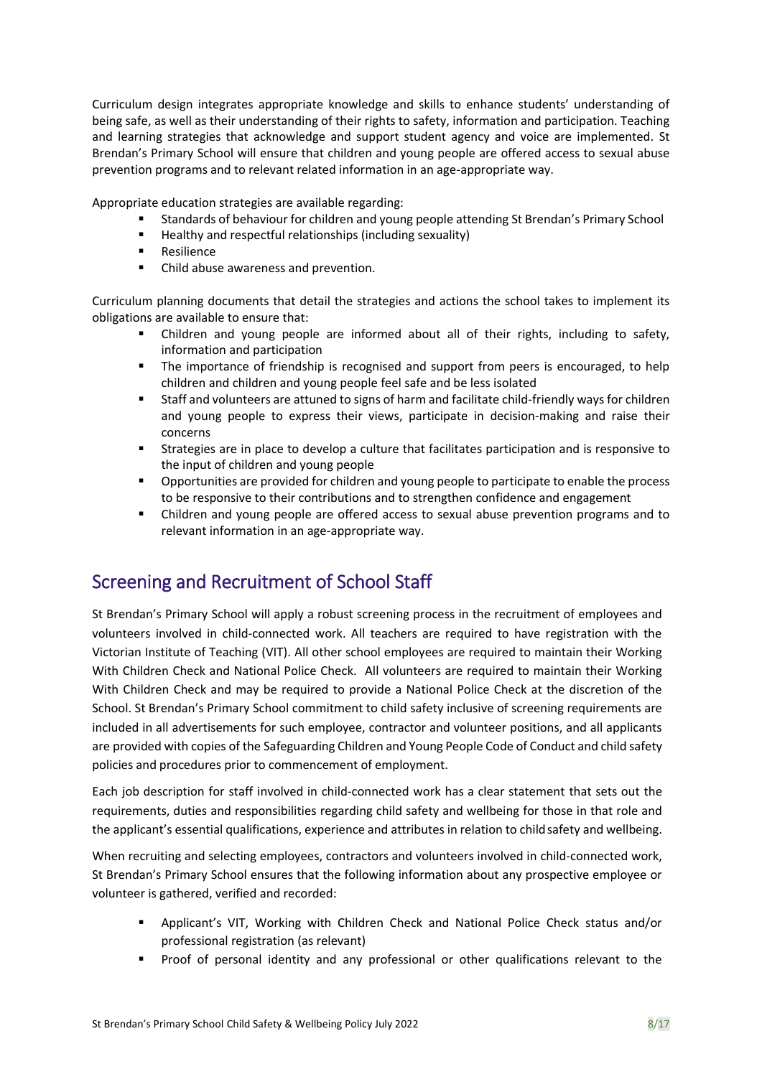Curriculum design integrates appropriate knowledge and skills to enhance students' understanding of being safe, as well as their understanding of their rights to safety, information and participation. Teaching and learning strategies that acknowledge and support student agency and voice are implemented. St Brendan's Primary School will ensure that children and young people are offered access to sexual abuse prevention programs and to relevant related information in an age-appropriate way.

Appropriate education strategies are available regarding:

- Standards of behaviour for children and young people attending St Brendan's Primary School
- Healthy and respectful relationships (including sexuality)
- **Resilience**
- Child abuse awareness and prevention.

Curriculum planning documents that detail the strategies and actions the school takes to implement its obligations are available to ensure that:

- Children and young people are informed about all of their rights, including to safety, information and participation
- The importance of friendship is recognised and support from peers is encouraged, to help children and children and young people feel safe and be less isolated
- Staff and volunteers are attuned to signs of harm and facilitate child-friendly ways for children and young people to express their views, participate in decision-making and raise their concerns
- Strategies are in place to develop a culture that facilitates participation and is responsive to the input of children and young people
- Opportunities are provided for children and young people to participate to enable the process to be responsive to their contributions and to strengthen confidence and engagement
- Children and young people are offered access to sexual abuse prevention programs and to relevant information in an age-appropriate way.

### Screening and Recruitment of School Staff

St Brendan's Primary School will apply a robust screening process in the recruitment of employees and volunteers involved in child-connected work. All teachers are required to have registration with the Victorian Institute of Teaching (VIT). All other school employees are required to maintain their Working With Children Check and National Police Check. All volunteers are required to maintain their Working With Children Check and may be required to provide a National Police Check at the discretion of the School. St Brendan's Primary School commitment to child safety inclusive of screening requirements are included in all advertisements for such employee, contractor and volunteer positions, and all applicants are provided with copies of the Safeguarding Children and Young People Code of Conduct and child safety policies and procedures prior to commencement of employment.

Each job description for staff involved in child-connected work has a clear statement that sets out the requirements, duties and responsibilities regarding child safety and wellbeing for those in that role and the applicant's essential qualifications, experience and attributes in relation to child safety and wellbeing.

When recruiting and selecting employees, contractors and volunteers involved in child-connected work, St Brendan's Primary School ensures that the following information about any prospective employee or volunteer is gathered, verified and recorded:

- Applicant's VIT, Working with Children Check and National Police Check status and/or professional registration (as relevant)
- Proof of personal identity and any professional or other qualifications relevant to the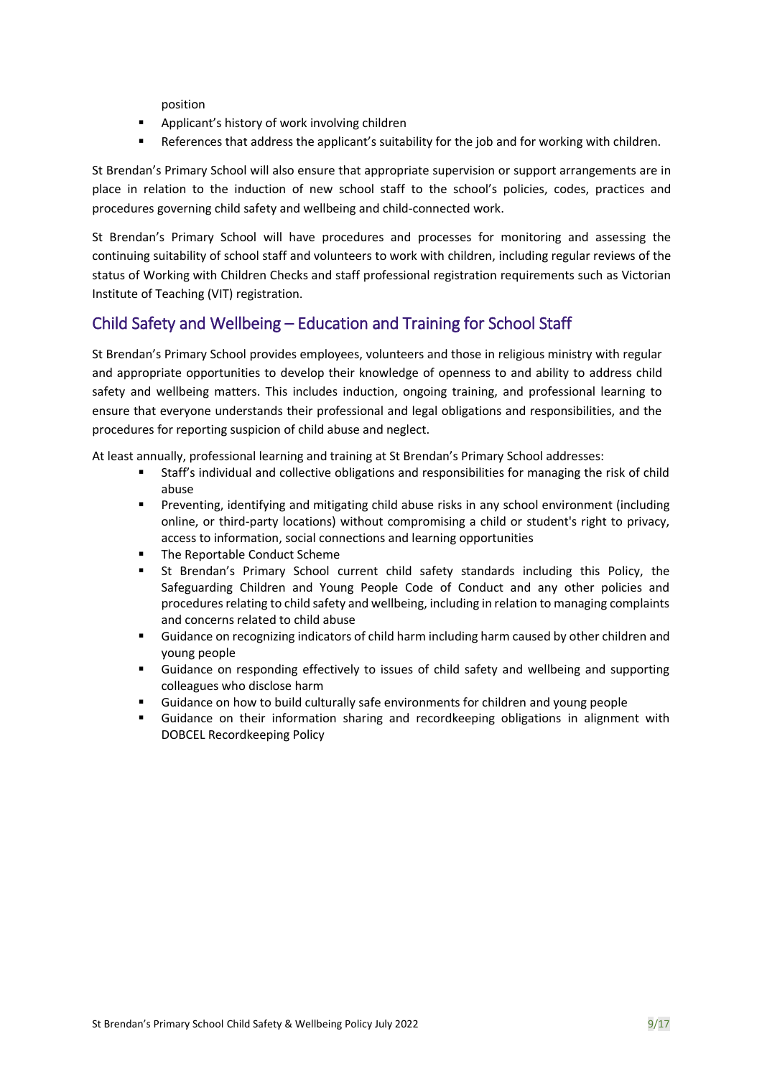position

- Applicant's history of work involving children
- References that address the applicant's suitability for the job and for working with children.

St Brendan's Primary School will also ensure that appropriate supervision or support arrangements are in place in relation to the induction of new school staff to the school's policies, codes, practices and procedures governing child safety and wellbeing and child-connected work.

St Brendan's Primary School will have procedures and processes for monitoring and assessing the continuing suitability of school staff and volunteers to work with children, including regular reviews of the status of Working with Children Checks and staff professional registration requirements such as Victorian Institute of Teaching (VIT) registration.

#### Child Safety and Wellbeing – Education and Training for School Staff

St Brendan's Primary School provides employees, volunteers and those in religious ministry with regular and appropriate opportunities to develop their knowledge of openness to and ability to address child safety and wellbeing matters. This includes induction, ongoing training, and professional learning to ensure that everyone understands their professional and legal obligations and responsibilities, and the procedures for reporting suspicion of child abuse and neglect.

At least annually, professional learning and training at St Brendan's Primary School addresses:

- Staff's individual and collective obligations and responsibilities for managing the risk of child abuse
- Preventing, identifying and mitigating child abuse risks in any school environment (including online, or third-party locations) without compromising a child or student's right to privacy, access to information, social connections and learning opportunities
- The Reportable Conduct Scheme
- **E** St Brendan's Primary School current child safety standards including this Policy, the Safeguarding Children and Young People Code of Conduct and any other policies and procedures relating to child safety and wellbeing, including in relation to managing complaints and concerns related to child abuse
- Guidance on recognizing indicators of child harm including harm caused by other children and young people
- Guidance on responding effectively to issues of child safety and wellbeing and supporting colleagues who disclose harm
- Guidance on how to build culturally safe environments for children and young people
- Guidance on their information sharing and recordkeeping obligations in alignment with DOBCEL Recordkeeping Policy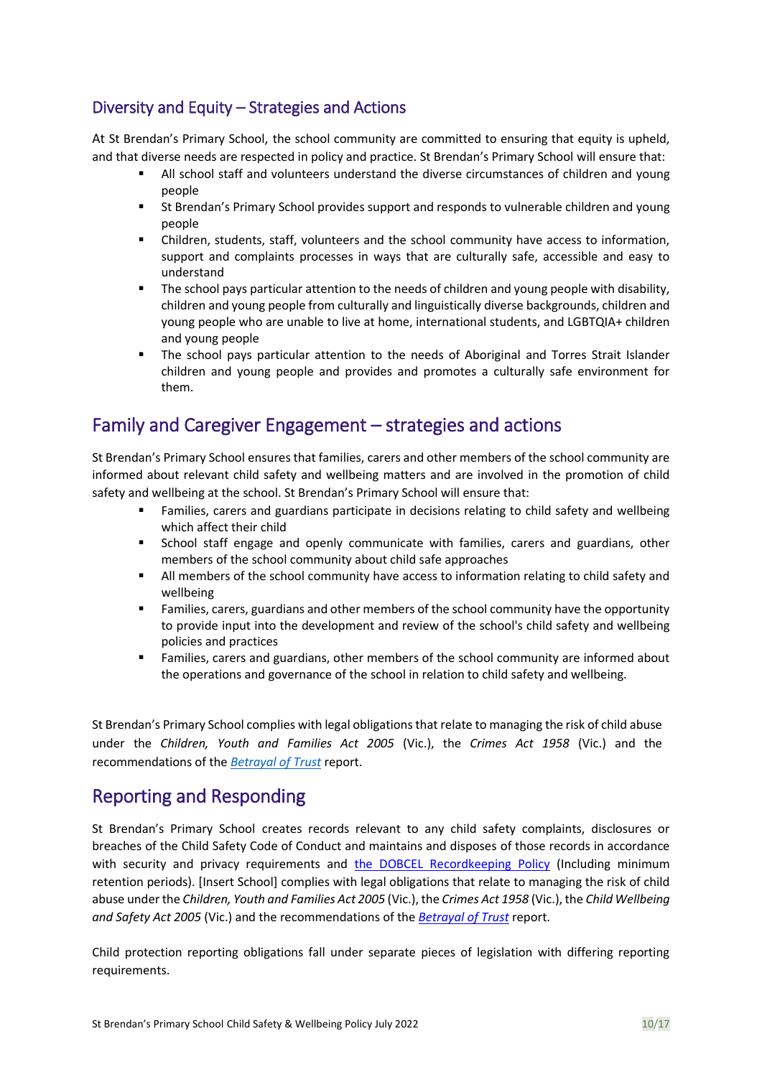### Diversity and Equity – Strategies and Actions

At St Brendan's Primary School, the school community are committed to ensuring that equity is upheld, and that diverse needs are respected in policy and practice. St Brendan's Primary School will ensure that:

- **E** All school staff and volunteers understand the diverse circumstances of children and young people
- St Brendan's Primary School provides support and responds to vulnerable children and young people
- Children, students, staff, volunteers and the school community have access to information, support and complaints processes in ways that are culturally safe, accessible and easy to understand
- The school pays particular attention to the needs of children and young people with disability, children and young people from culturally and linguistically diverse backgrounds, children and young people who are unable to live at home, international students, and LGBTQIA+ children and young people
- The school pays particular attention to the needs of Aboriginal and Torres Strait Islander children and young people and provides and promotes a culturally safe environment for them.

## Family and Caregiver Engagement – strategies and actions

St Brendan's Primary School ensures that families, carers and other members of the school community are informed about relevant child safety and wellbeing matters and are involved in the promotion of child safety and wellbeing at the school. St Brendan's Primary School will ensure that:

- Families, carers and guardians participate in decisions relating to child safety and wellbeing which affect their child
- School staff engage and openly communicate with families, carers and guardians, other members of the school community about child safe approaches
- **E** All members of the school community have access to information relating to child safety and wellbeing
- **EXECT** Families, carers, guardians and other members of the school community have the opportunity to provide input into the development and review of the school's child safety and wellbeing policies and practices
- Families, carers and guardians, other members of the school community are informed about the operations and governance of the school in relation to child safety and wellbeing.

St Brendan's Primary School complies with legal obligations that relate to managing the risk of child abuse under the *Children, Youth and Families Act 2005* (Vic.), the *Crimes Act 1958* (Vic.) and the recommendations of the *[Betrayal of Trust](https://www.parliament.vic.gov.au/fcdc/article/1788)* report.

## Reporting and Responding

St Brendan's Primary School creates records relevant to any child safety complaints, disclosures or breaches of the Child Safety Code of Conduct and maintains and disposes of those records in accordance with security and privacy requirements and the DOBCEL Recordkeeping Policy (Including minimum retention periods). [Insert School] complies with legal obligations that relate to managing the risk of child abuse under the *Children, Youth and Families Act 2005* (Vic.), the *Crimes Act 1958* (Vic.), the *Child Wellbeing and Safety Act 2005* (Vic.) and the recommendations of the *[Betrayal of Trust](http://www.parliament.vic.gov.au/fcdc/article/1788)* report.

Child protection reporting obligations fall under separate pieces of legislation with differing reporting requirements.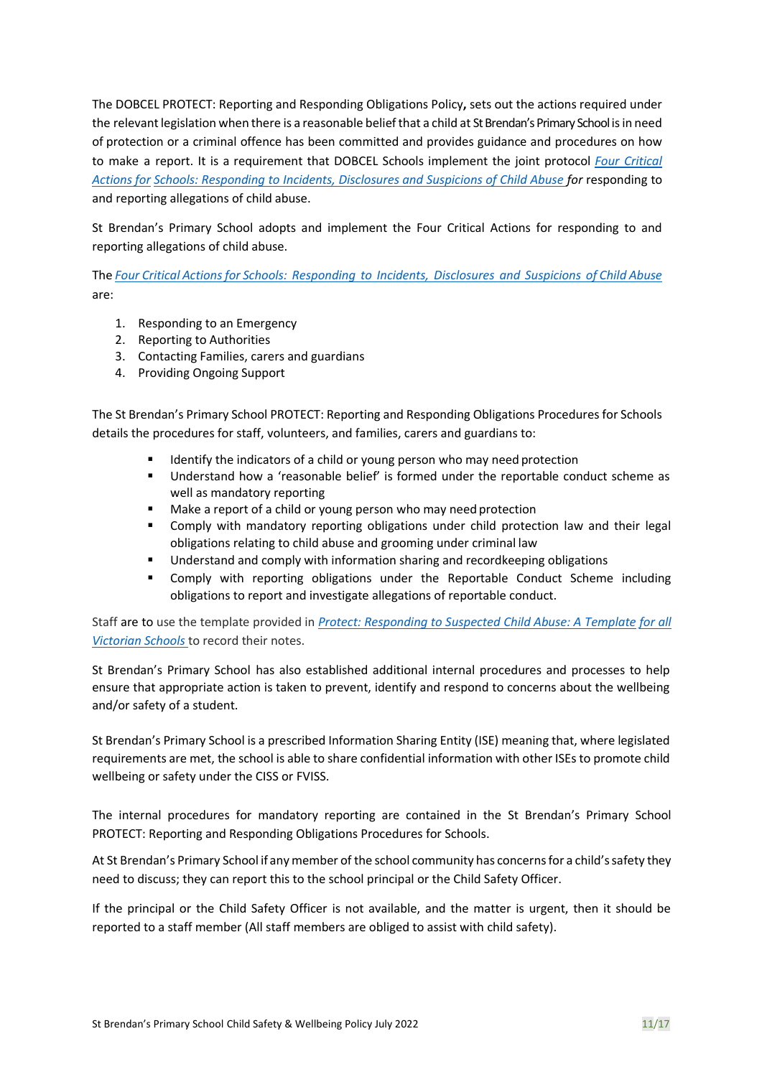The DOBCEL PROTECT: Reporting and Responding Obligations Policy**,** sets out the actions required under the relevant legislation when there is a reasonable belief that a child at St Brendan's Primary School is in need of protection or a criminal offence has been committed and provides guidance and procedures on how to make a report. It is a requirement that DOBCEL Schools implement the joint protocol *Four [Critical](http://www.cecv.catholic.edu.au/getmedia/ebe135a4-d1b3-48a0-81fe-50d4fc451bcd/Identifying-and-Responding-to-All-Forms-of-Abuse.aspx) [Actions](http://www.cecv.catholic.edu.au/getmedia/ebe135a4-d1b3-48a0-81fe-50d4fc451bcd/Identifying-and-Responding-to-All-Forms-of-Abuse.aspx) for [Schools: Responding to Incidents, Disclosures and Suspicions of Child Abuse f](https://www.education.vic.gov.au/Documents/about/programs/health/protect/FourCriticalActions_ChildAbuse.pdf#page%3D12)or* responding to and reporting allegations of child abuse.

St Brendan's Primary School adopts and implement the Four Critical Actions for responding to and reporting allegations of child abuse.

The *[Four Critical Actions for Schools: Responding to Incidents, Disclosures and Suspicions of Child Abuse](https://www.education.vic.gov.au/Documents/about/programs/health/protect/FourCriticalActions_ChildAbuse.pdf#page%3D12)*  are:

- 1. Responding to an Emergency
- 2. Reporting to Authorities
- 3. Contacting Families, carers and guardians
- 4. Providing Ongoing Support

The St Brendan's Primary School PROTECT: Reporting and Responding Obligations Procedures for Schools details the procedures for staff, volunteers, and families, carers and guardians to:

- Identify the indicators of a child or young person who may need protection
- Understand how a 'reasonable belief' is formed under the reportable conduct scheme as well as mandatory reporting
- Make a report of a child or young person who may need protection
- Comply with mandatory reporting obligations under child protection law and their legal obligations relating to child abuse and grooming under criminal law
- Understand and comply with information sharing and recordkeeping obligations
- Comply with reporting obligations under the Reportable Conduct Scheme including obligations to report and investigate allegations of reportable conduct.

Staff are to use the template provided in *[Protect: Responding to Suspected Child Abuse: A Template](https://www.education.vic.gov.au/Documents/about/programs/health/protect/PROTECT_Schoolstemplate.pdf) [for all](http://www.cecv.catholic.edu.au/getmedia/ebe135a4-d1b3-48a0-81fe-50d4fc451bcd/Identifying-and-Responding-to-All-Forms-of-Abuse.aspx)  [Victorian Schools](http://www.cecv.catholic.edu.au/getmedia/ebe135a4-d1b3-48a0-81fe-50d4fc451bcd/Identifying-and-Responding-to-All-Forms-of-Abuse.aspx)* to record their notes.

St Brendan's Primary School has also established additional internal procedures and processes to help ensure that appropriate action is taken to prevent, identify and respond to concerns about the wellbeing and/or safety of a student.

St Brendan's Primary School is a prescribed Information Sharing Entity (ISE) meaning that, where legislated requirements are met, the school is able to share confidential information with other ISEs to promote child wellbeing or safety under the CISS or FVISS.

The internal procedures for mandatory reporting are contained in the St Brendan's Primary School PROTECT: Reporting and Responding Obligations Procedures for Schools.

At St Brendan's Primary School if any member of the school community has concerns for a child's safety they need to discuss; they can report this to the school principal or the Child Safety Officer.

If the principal or the Child Safety Officer is not available, and the matter is urgent, then it should be reported to a staff member (All staff members are obliged to assist with child safety).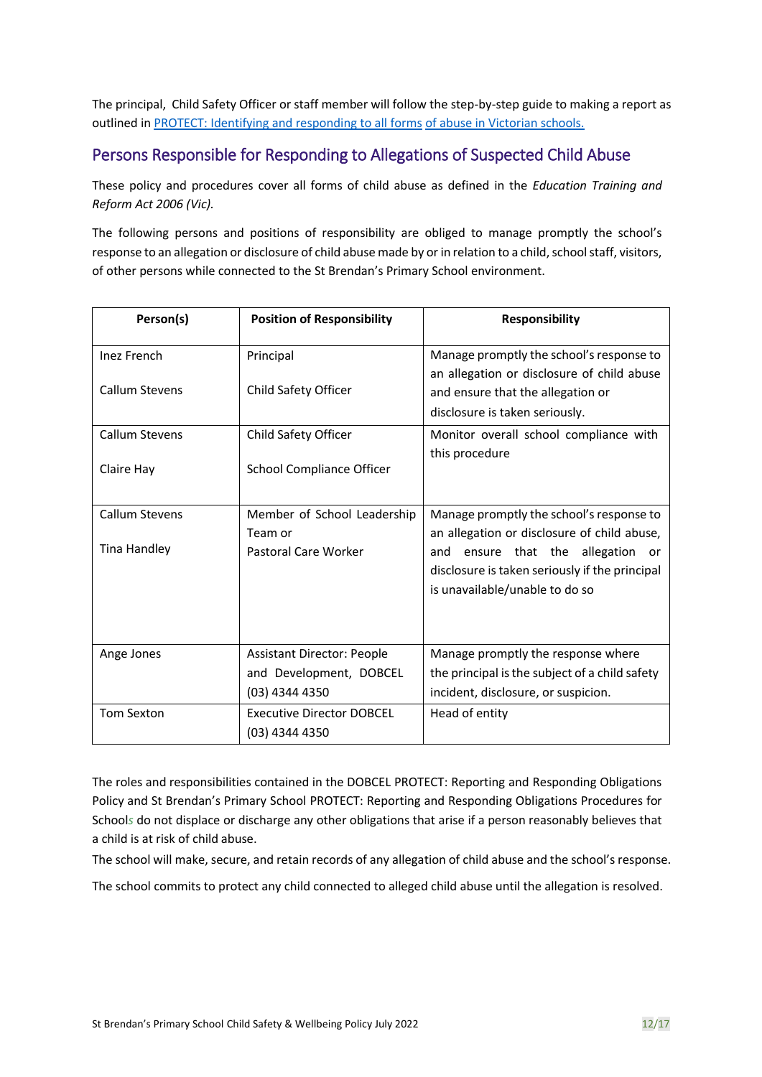The principal, Child Safety Officer or staff member will follow the step-by-step guide to making a report as outlined i[n PROTECT: Identifying and responding to all forms](https://www.cecv.catholic.edu.au/getmedia/ebe135a4-d1b3-48a0-81fe-50d4fc451bcd/Identifying-and-Responding-to-All-Forms-of-Abuse.aspx#page%3D10) [of abuse in Victorian schools.](http://www.cecv.catholic.edu.au/getmedia/ebe135a4-d1b3-48a0-81fe-50d4fc451bcd/Identifying-and-Responding-to-All-Forms-of-Abuse.aspx#page%3D7)

#### Persons Responsible for Responding to Allegations of Suspected Child Abuse

These policy and procedures cover all forms of child abuse as defined in the *Education Training and Reform Act 2006 (Vic).*

The following persons and positions of responsibility are obliged to manage promptly the school's response to an allegation or disclosure of child abuse made by or in relation to a child, school staff, visitors, of other persons while connected to the St Brendan's Primary School environment.

| Person(s)           | <b>Position of Responsibility</b>                  | <b>Responsibility</b>                                                                                                                                                         |
|---------------------|----------------------------------------------------|-------------------------------------------------------------------------------------------------------------------------------------------------------------------------------|
| <b>Inez French</b>  | Principal                                          | Manage promptly the school's response to                                                                                                                                      |
| Callum Stevens      | Child Safety Officer                               | an allegation or disclosure of child abuse<br>and ensure that the allegation or<br>disclosure is taken seriously.                                                             |
| Callum Stevens      | Child Safety Officer                               | Monitor overall school compliance with                                                                                                                                        |
| Claire Hay          | School Compliance Officer                          | this procedure                                                                                                                                                                |
| Callum Stevens      | Member of School Leadership                        | Manage promptly the school's response to                                                                                                                                      |
| <b>Tina Handley</b> | Team or<br>Pastoral Care Worker                    | an allegation or disclosure of child abuse,<br>ensure<br>that the allegation<br>and<br>or<br>disclosure is taken seriously if the principal<br>is unavailable/unable to do so |
| Ange Jones          | <b>Assistant Director: People</b>                  | Manage promptly the response where                                                                                                                                            |
|                     | and Development, DOBCEL<br>(03) 4344 4350          | the principal is the subject of a child safety<br>incident, disclosure, or suspicion.                                                                                         |
| <b>Tom Sexton</b>   | <b>Executive Director DOBCEL</b><br>(03) 4344 4350 | Head of entity                                                                                                                                                                |

The roles and responsibilities contained in the DOBCEL PROTECT: Reporting and Responding Obligations Policy and St Brendan's Primary School PROTECT: Reporting and Responding Obligations Procedures for School*s* do not displace or discharge any other obligations that arise if a person reasonably believes that a child is at risk of child abuse.

The school will make, secure, and retain records of any allegation of child abuse and the school's response.

The school commits to protect any child connected to alleged child abuse until the allegation is resolved.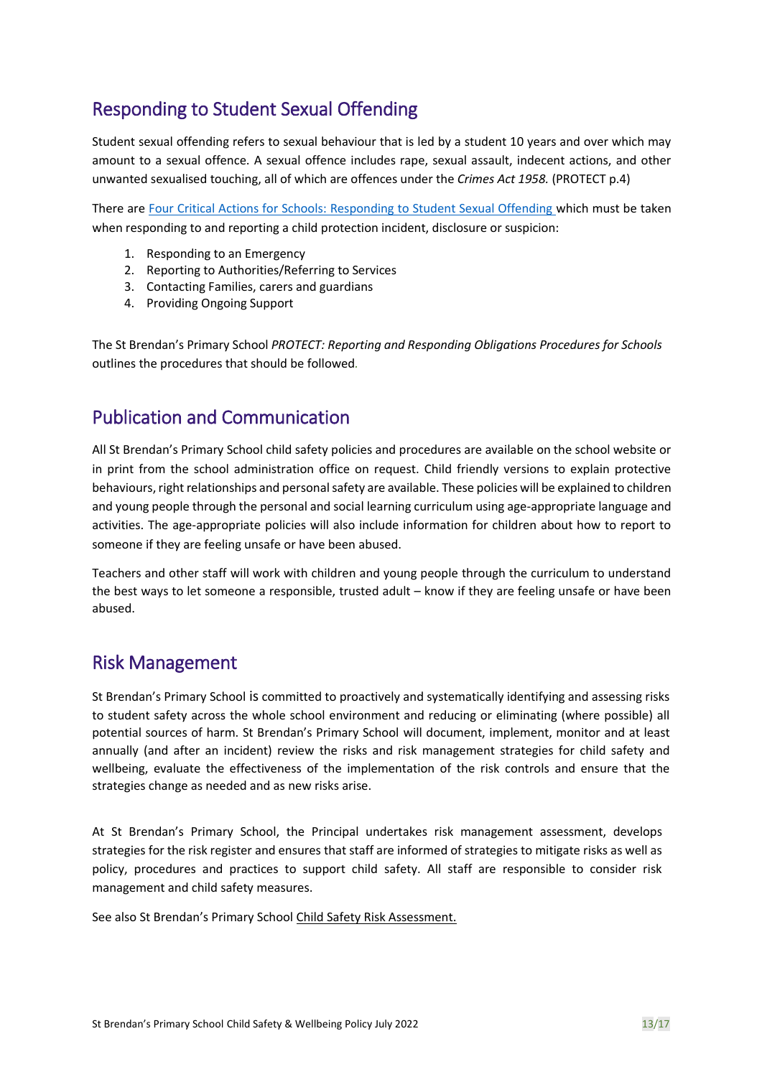## Responding to Student Sexual Offending

Student sexual offending refers to sexual behaviour that is led by a student 10 years and over which may amount to a sexual offence. A sexual offence includes rape, sexual assault, indecent actions, and other unwanted sexualised touching, all of which are offences under the *Crimes Act 1958.* (PROTECT p.4)

There are [Four Critical Actions for Schools: Responding to Student Sexual Offending w](https://www.education.vic.gov.au/Documents/about/programs/health/protect/FourCriticalActions_SSO.pdf)hich must be taken when responding to and reporting a child protection incident, disclosure or suspicion:

- 1. Responding to an Emergency
- 2. Reporting to Authorities/Referring to Services
- 3. Contacting Families, carers and guardians
- 4. Providing Ongoing Support

The St Brendan's Primary School *PROTECT: Reporting and Responding Obligations Procedures for Schools* outlines the procedures that should be followed*.*

## Publication and Communication

All St Brendan's Primary School child safety policies and procedures are available on the school website or in print from the school administration office on request. Child friendly versions to explain protective behaviours, right relationships and personal safety are available. These policies will be explained to children and young people through the personal and social learning curriculum using age-appropriate language and activities. The age-appropriate policies will also include information for children about how to report to someone if they are feeling unsafe or have been abused.

Teachers and other staff will work with children and young people through the curriculum to understand the best ways to let someone a responsible, trusted adult – know if they are feeling unsafe or have been abused.

### Risk Management

St Brendan's Primary School is committed to proactively and systematically identifying and assessing risks to student safety across the whole school environment and reducing or eliminating (where possible) all potential sources of harm. St Brendan's Primary School will document, implement, monitor and at least annually (and after an incident) review the risks and risk management strategies for child safety and wellbeing, evaluate the effectiveness of the implementation of the risk controls and ensure that the strategies change as needed and as new risks arise.

At St Brendan's Primary School, the Principal undertakes risk management assessment, develops strategies for the risk register and ensures that staff are informed of strategies to mitigate risks as well as policy, procedures and practices to support child safety. All staff are responsible to consider risk management and child safety measures.

See also St Brendan's Primary School Child Safety Risk Assessment.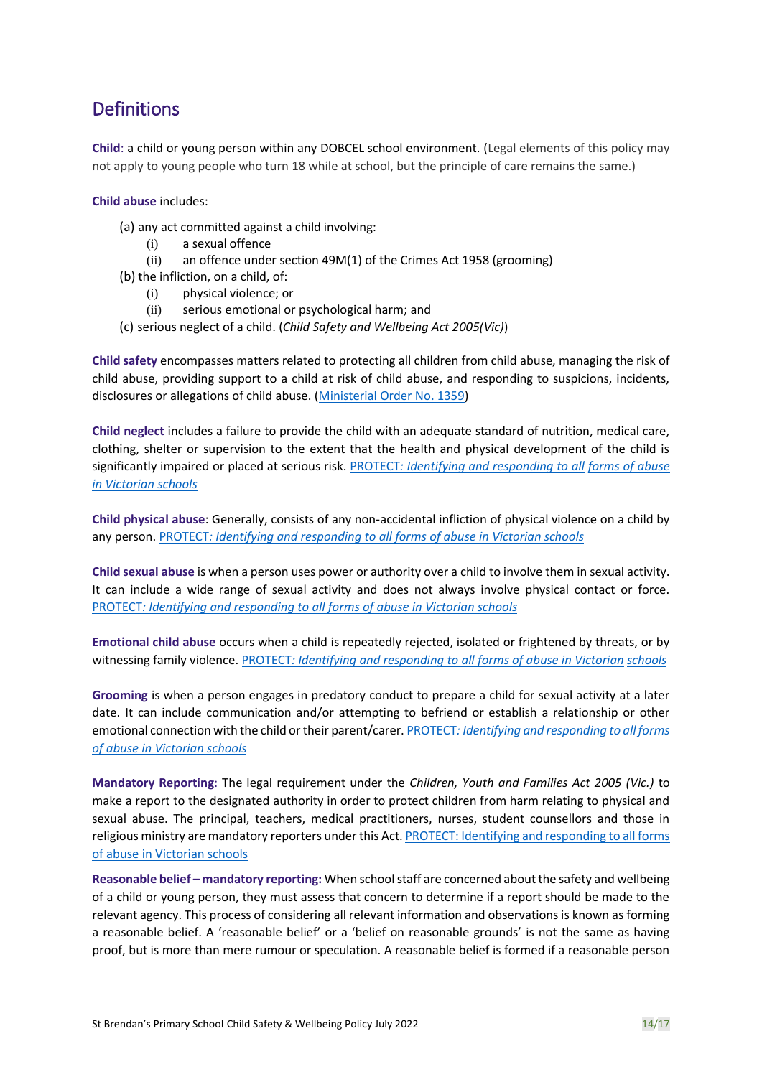## **Definitions**

**Child**: a child or young person within any DOBCEL school environment. (Legal elements of this policy may not apply to young people who turn 18 while at school, but the principle of care remains the same.)

#### **Child abuse** includes:

- (a) any act committed against a child involving:
	- (i) a sexual offence
	- (ii) an offence under section 49M(1) of the Crimes Act 1958 (grooming)
- (b) the infliction, on a child, of:
	- (i) physical violence; or
	- (ii) serious emotional or psychological harm; and
- (c) serious neglect of a child. (*Child Safety and Wellbeing Act 2005(Vic)*)

**Child safety** encompasses matters related to protecting all children from child abuse, managing the risk of child abuse, providing support to a child at risk of child abuse, and responding to suspicions, incidents, disclosures or allegations of child abuse. [\(Ministerial Order No. 1359\)](https://www.education.vic.gov.au/Documents/about/programs/health/protect/Ministerial_Order.pdf)

**Child neglect** includes a failure to provide the child with an adequate standard of nutrition, medical care, clothing, shelter or supervision to the extent that the health and physical development of the child is significantly impaired or placed at serious risk. [PROTECT](http://www.cecv.catholic.edu.au/getmedia/ebe135a4-d1b3-48a0-81fe-50d4fc451bcd/Identifying-and-Responding-to-All-Forms-of-Abuse.aspx#page%3D18)*[: Identifying and responding to all](https://www.cecv.catholic.edu.au/getmedia/ebe135a4-d1b3-48a0-81fe-50d4fc451bcd/Identifying-and-Responding-to-All-Forms-of-Abuse.aspx#page%3D10) [forms of abuse](http://cevn.cecv.catholic.edu.au/WorkArea/DownloadAsset.aspx#page%3D18)  [in Victorian schools](http://cevn.cecv.catholic.edu.au/WorkArea/DownloadAsset.aspx#page%3D18)*

**Child physical abuse**: Generally, consists of any non-accidental infliction of physical violence on a child by any person. [PROTECT](http://cevn.cecv.catholic.edu.au/WorkArea/DownloadAsset.aspx#page%3D10)*[: Identifying and responding to all forms of abuse in Victorian schools](https://www.cecv.catholic.edu.au/getmedia/ebe135a4-d1b3-48a0-81fe-50d4fc451bcd/Identifying-and-Responding-to-All-Forms-of-Abuse.aspx#page%3D10)*

**Child sexual abuse** is when a person uses power or authority over a child to involve them in sexual activity. It can include a wide range of sexual activity and does not always involve physical contact or force. [PROTECT](http://www.cecv.catholic.edu.au/vcsa/Agreement_2013/VCEMEA_2013.pdf#page%3D12)*[: Identifying and responding to all forms of abuse in Victorian schools](https://www.cecv.catholic.edu.au/getmedia/ebe135a4-d1b3-48a0-81fe-50d4fc451bcd/Identifying-and-Responding-to-All-Forms-of-Abuse.aspx#page%3D10)*

**Emotional child abuse** occurs when a child is repeatedly rejected, isolated or frightened by threats, or by witnessing family violence[. PROTECT](http://www.cecv.catholic.edu.au/getmedia/ebe135a4-d1b3-48a0-81fe-50d4fc451bcd/Identifying-and-Responding-to-All-Forms-of-Abuse.aspx#page%3D17)*[: Identifying and responding to all forms of abuse in Victorian](http://www.gazette.vic.gov.au/gazette/Gazettes2016/GG2016S002.pdf#page%3D17) [schools](http://www.vatican.va/roman_curia/congregations/ccatheduc/documents/rc_con_ccatheduc_doc_27041998_school2000_en.html#page%3D17)*

**Grooming** is when a person engages in predatory conduct to prepare a child for sexual activity at a later date. It can include communication and/or attempting to befriend or establish a relationship or other emotional connection with the child or their parent/carer. [PROTECT](http://www.cecv.catholic.edu.au/getmedia/ebe135a4-d1b3-48a0-81fe-50d4fc451bcd/Identifying-and-Responding-to-All-Forms-of-Abuse.aspx#page%3D15)*[: Identifying and responding](https://www.cecv.catholic.edu.au/getmedia/ebe135a4-d1b3-48a0-81fe-50d4fc451bcd/Identifying-and-Responding-to-All-Forms-of-Abuse.aspx#page%3D10) [to all forms](http://www.cecv.catholic.edu.au/getmedia/ebe135a4-d1b3-48a0-81fe-50d4fc451bcd/Identifying-and-Responding-to-All-Forms-of-Abuse.aspx#page%3D15)  [of abuse in Victorian schools](http://www.cecv.catholic.edu.au/getmedia/ebe135a4-d1b3-48a0-81fe-50d4fc451bcd/Identifying-and-Responding-to-All-Forms-of-Abuse.aspx#page%3D15)*

**Mandatory Reporting**: The legal requirement under the *Children, Youth and Families Act 2005 (Vic.)* to make a report to the designated authority in order to protect children from harm relating to physical and sexual abuse. The principal, teachers, medical practitioners, nurses, student counsellors and those in religious ministry are mandatory reporters under this Act[. PROTECT: Identifying and responding to all forms](https://www.cecv.catholic.edu.au/getmedia/ebe135a4-d1b3-48a0-81fe-50d4fc451bcd/Identifying-and-Responding-to-All-Forms-of-Abuse.aspx#page%3D10)  [of abuse in Victorian](https://www.cecv.catholic.edu.au/getmedia/ebe135a4-d1b3-48a0-81fe-50d4fc451bcd/Identifying-and-Responding-to-All-Forms-of-Abuse.aspx#page%3D10) schools

**Reasonable belief – mandatory reporting:** When school staff are concerned about the safety and wellbeing of a child or young person, they must assess that concern to determine if a report should be made to the relevant agency. This process of considering all relevant information and observations is known as forming a reasonable belief. A 'reasonable belief' or a 'belief on reasonable grounds' is not the same as having proof, but is more than mere rumour or speculation. A reasonable belief is formed if a reasonable person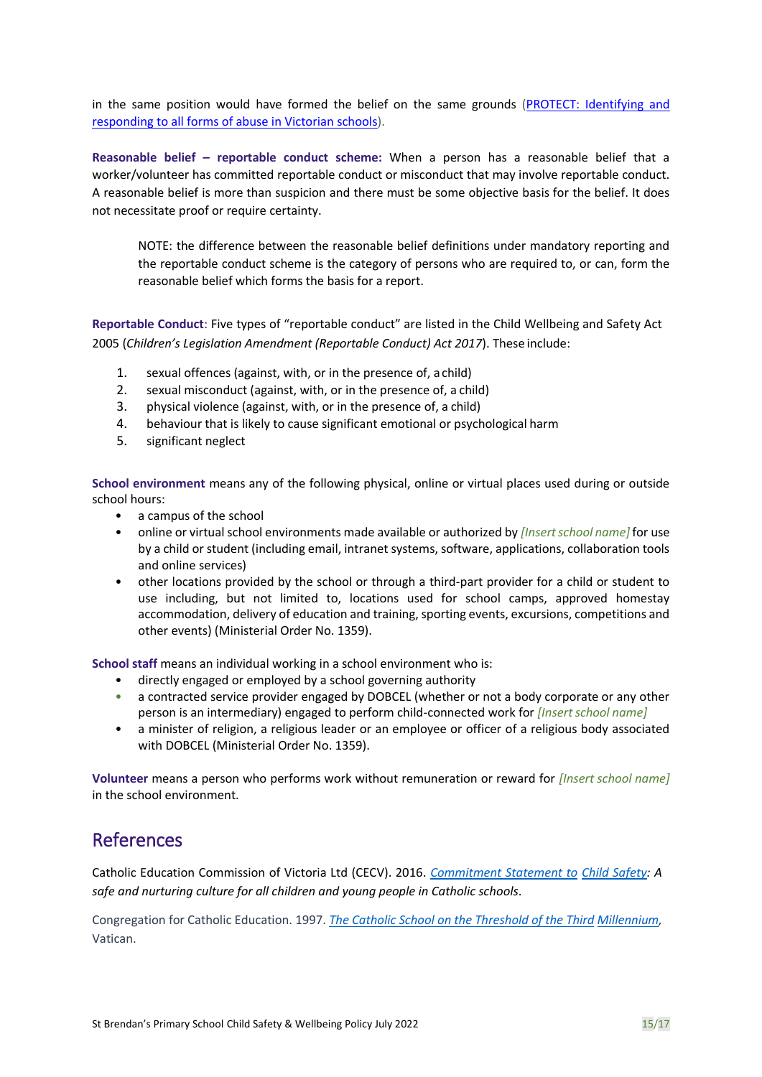in the same position would have formed the belief on the same grounds [\(PROTECT: Identifying and](http://www.cecv.catholic.edu.au/getmedia/ebe135a4-d1b3-48a0-81fe-50d4fc451bcd/Identifying-and-Responding-to-All-Forms-of-Abuse.aspx#page%3D35)  [responding to all forms of abuse in Victorian schools\)](http://www.cecv.catholic.edu.au/getmedia/ebe135a4-d1b3-48a0-81fe-50d4fc451bcd/Identifying-and-Responding-to-All-Forms-of-Abuse.aspx#page%3D35).

**Reasonable belief – reportable conduct scheme:** When a person has a reasonable belief that a worker/volunteer has committed reportable conduct or misconduct that may involve reportable conduct. A reasonable belief is more than suspicion and there must be some objective basis for the belief. It does not necessitate proof or require certainty.

NOTE: the difference between the reasonable belief definitions under mandatory reporting and the reportable conduct scheme is the category of persons who are required to, or can, form the reasonable belief which forms the basis for a report.

**Reportable Conduct**: Five types of "reportable conduct" are listed in the Child Wellbeing and Safety Act 2005 (*Children's Legislation Amendment (Reportable Conduct) Act 2017*). These include:

- 1. sexual offences (against, with, or in the presence of, a child)
- 2. sexual misconduct (against, with, or in the presence of, a child)
- 3. physical violence (against, with, or in the presence of, a child)
- 4. behaviour that is likely to cause significant emotional or psychological harm
- 5. significant neglect

**School environment** means any of the following physical, online or virtual places used during or outside school hours:

- a campus of the school
- online or virtual school environments made available or authorized by *[Insert school name]* for use by a child or student (including email, intranet systems, software, applications, collaboration tools and online services)
- other locations provided by the school or through a third-part provider for a child or student to use including, but not limited to, locations used for school camps, approved homestay accommodation, delivery of education and training, sporting events, excursions, competitions and other events) (Ministerial Order No. 1359).

**School staff** means an individual working in a school environment who is:

- directly engaged or employed by a school governing authority
- a contracted service provider engaged by DOBCEL (whether or not a body corporate or any other person is an intermediary) engaged to perform child-connected work for *[Insertschool name]*
- a minister of religion, a religious leader or an employee or officer of a religious body associated with DOBCEL (Ministerial Order No. 1359).

**Volunteer** means a person who performs work without remuneration or reward for *[Insert school name]* in the school environment.

#### References

Catholic Education Commission of Victoria Ltd (CECV). 2016. *[Commitment Statement to](https://cevn.cecv.catholic.edu.au/Melb/Document-File/Child-Safety/About/Commitment-Statement-A4.aspx) [Child Safety:](http://www.cecv.catholic.edu.au/getmedia/ebe135a4-d1b3-48a0-81fe-50d4fc451bcd/Identifying-and-Responding-to-All-Forms-of-Abuse.aspx?id=8589940208) A safe and nurturing culture for all children and young people in Catholic schools*.

Congregation for Catholic Education. 1997. *[The Catholic School on the Threshold of the Third](http://www.vatican.va/roman_curia/congregations/ccatheduc/documents/rc_con_ccatheduc_doc_27041998_school2000_en.html) [Millennium,](http://www.education.vic.gov.au/Documents/about/programs/health/protect/FourCriticalActions_ChildAbuse.pdf)*  Vatican.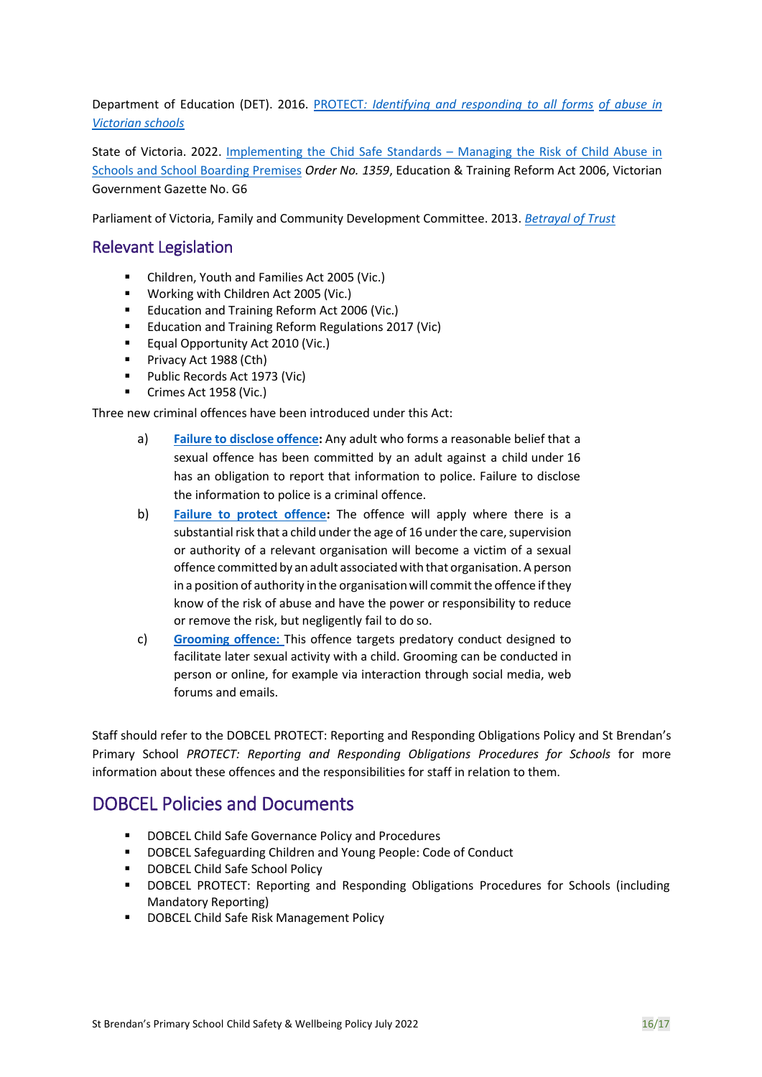Department of Education (DET). 20[16.](https://www.vit.vic.edu.au/news/news/2018/protecting-children-mandatory-reporting-elearning-modules) [PROTECT](http://www.gazette.vic.gov.au/gazette/Gazettes2016/GG2016S002.pdf)*[: Identifying and responding to all forms](https://www.cecv.catholic.edu.au/getmedia/ebe135a4-d1b3-48a0-81fe-50d4fc451bcd/Identifying-and-Responding-to-All-Forms-of-Abuse.aspx#page%3D10) [of abuse in](http://www.cecv.catholic.edu.au/getmedia/ebe135a4-d1b3-48a0-81fe-50d4fc451bcd/Identifying-and-Responding-to-All-Forms-of-Abuse.aspx)  [Victorian](http://www.cecv.catholic.edu.au/getmedia/ebe135a4-d1b3-48a0-81fe-50d4fc451bcd/Identifying-and-Responding-to-All-Forms-of-Abuse.aspx) [schools](http://www.gazette.vic.gov.au/gazette/Gazettes2016/GG2016S002.pdf)*

State of Victoria. 2022. [Implementing the Chid Safe Standards](https://www.education.vic.gov.au/Documents/about/programs/health/protect/Ministerial_Order.pdf) – Managing the Risk of Child Abuse in [Schools and School Boarding Premises](https://www.education.vic.gov.au/Documents/about/programs/health/protect/Ministerial_Order.pdf) *Order No. 1359*, Education & Training Reform Act 2006, Victorian Government Gazette No. G6

Parliament of Victoria, Family and Community Development Committee. 2013. *[Betrayal of Trust](http://www.cecv.catholic.edu.au/getmedia/ebe135a4-d1b3-48a0-81fe-50d4fc451bcd/Identifying-and-Responding-to-All-Forms-of-Abuse.aspx)*

#### Relevant Legislation

- Children, Youth and Families Act 2005 (Vic.)
- Working with Children Act 2005 (Vic.)
- Education and Training Reform Act 2006 (Vic.)
- Education and Training Reform Regulations 2017 (Vic)
- Equal Opportunity Act 2010 (Vic.)
- Privacy Act 1988 (Cth)
- Public Records Act 1973 (Vic)
- Crimes Act 1958 (Vic.)

Three new criminal offences have been introduced under this Act:

- a) **[Failure to disclose offence:](https://www.education.vic.gov.au/school/teachers/health/childprotection/Pages/reportobligations.aspx)** Any adult who forms a reasonable belief that a sexual offence has been committed by an adult against a child under 16 has an obligation to report that information to police. Failure to disclose the information to police is a criminal offence.
- b) **[Failure to protect offence:](https://www.education.vic.gov.au/school/teachers/health/childprotection/Pages/reportobligations.aspx)** The offence will apply where there is a substantial risk that a child under the age of 16 under the care, supervision or authority of a relevant organisation will become a victim of a sexual offence committed by an adult associated with that organisation. A person in a position of authority in the organisation will commit the offence if they know of the risk of abuse and have the power or responsibility to reduce or remove the risk, but negligently fail to do so.
- c) **[Grooming offence:](https://www.education.vic.gov.au/school/teachers/health/childprotection/Pages/reportobligations.aspx)** This offence targets predatory conduct designed to facilitate later sexual activity with a child. Grooming can be conducted in person or online, for example via interaction through social media, web forums and emails.

Staff should refer to the DOBCEL PROTECT: Reporting and Responding Obligations Policy and St Brendan's Primary School *PROTECT: Reporting and Responding Obligations Procedures for Schools* for more information about these offences and the responsibilities for staff in relation to them.

### DOBCEL Policies and Documents

- DOBCEL Child Safe Governance Policy and Procedures
- DOBCEL Safeguarding Children and Young People: Code of Conduct
- **DOBCEL Child Safe School Policy**
- DOBCEL PROTECT: Reporting and Responding Obligations Procedures for Schools (including Mandatory Reporting)
- DOBCEL Child Safe Risk Management Policy